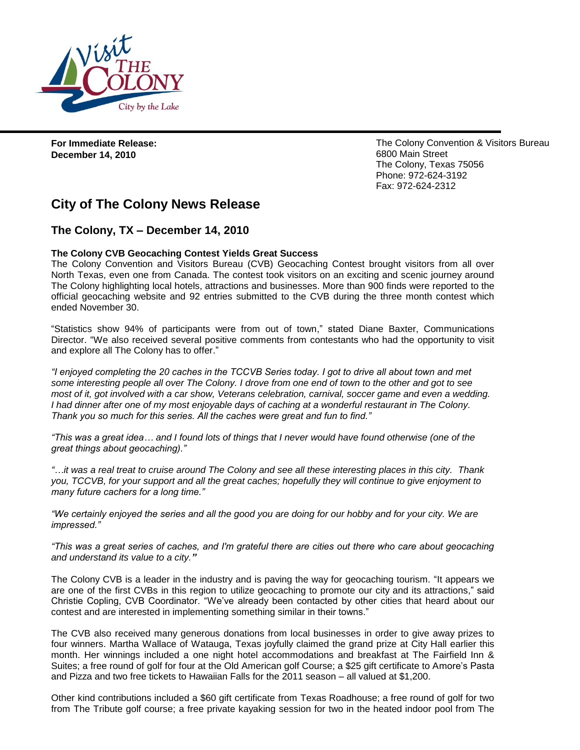

**For Immediate Release: December 14, 2010** 

The Colony Convention & Visitors Bureau 6800 Main Street The Colony, Texas 75056 Phone: 972-624-3192 Fax: 972-624-2312

## **City of The Colony News Release**

## **The Colony, TX – December 14, 2010**

## **The Colony CVB Geocaching Contest Yields Great Success**

The Colony Convention and Visitors Bureau (CVB) Geocaching Contest brought visitors from all over North Texas, even one from Canada. The contest took visitors on an exciting and scenic journey around The Colony highlighting local hotels, attractions and businesses. More than 900 finds were reported to the official geocaching website and 92 entries submitted to the CVB during the three month contest which ended November 30.

"Statistics show 94% of participants were from out of town," stated Diane Baxter, Communications Director. "We also received several positive comments from contestants who had the opportunity to visit and explore all The Colony has to offer."

*"I enjoyed completing the 20 caches in the TCCVB Series today. I got to drive all about town and met some interesting people all over The Colony. I drove from one end of town to the other and got to see*  most of it, got involved with a car show, Veterans celebration, carnival, soccer game and even a wedding. *I had dinner after one of my most enjoyable days of caching at a wonderful restaurant in The Colony. Thank you so much for this series. All the caches were great and fun to find."*

*"This was a great idea… and I found lots of things that I never would have found otherwise (one of the great things about geocaching)."*

*"…it was a real treat to cruise around The Colony and see all these interesting places in this city. Thank you, TCCVB, for your support and all the great caches; hopefully they will continue to give enjoyment to many future cachers for a long time."*

*"We certainly enjoyed the series and all the good you are doing for our hobby and for your city. We are impressed."*

*"This was a great series of caches, and I'm grateful there are cities out there who care about geocaching and understand its value to a city."*

The Colony CVB is a leader in the industry and is paving the way for geocaching tourism. "It appears we are one of the first CVBs in this region to utilize geocaching to promote our city and its attractions," said Christie Copling, CVB Coordinator. "We've already been contacted by other cities that heard about our contest and are interested in implementing something similar in their towns."

The CVB also received many generous donations from local businesses in order to give away prizes to four winners. Martha Wallace of Watauga, Texas joyfully claimed the grand prize at City Hall earlier this month. Her winnings included a one night hotel accommodations and breakfast at The Fairfield Inn & Suites; a free round of golf for four at the Old American golf Course; a \$25 gift certificate to Amore's Pasta and Pizza and two free tickets to Hawaiian Falls for the 2011 season – all valued at \$1,200.

Other kind contributions included a \$60 gift certificate from Texas Roadhouse; a free round of golf for two from The Tribute golf course; a free private kayaking session for two in the heated indoor pool from The